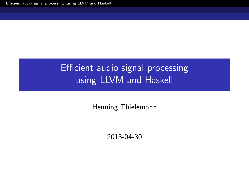# Efficient audio signal processing using LLVM and Haskell

Henning Thielemann

<span id="page-0-0"></span>2013-04-30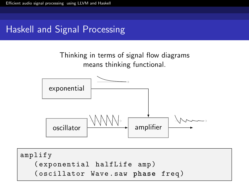## Haskell and Signal Processing



```
amplify
  ( exponential halfLife amp )
  ( oscillator Wave . saw phase freq )
```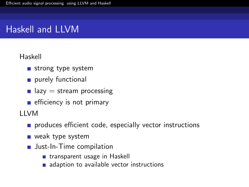### Haskell and LLVM

#### Haskell

- $\blacksquare$  strong type system
- purely functional
- **lazy** = stream processing
- $\blacksquare$  efficiency is not primary

LLVM

- produces efficient code, especially vector instructions
- **weak type system**
- **Just-In-Time compilation** 
	- **transparent usage in Haskell**
	- adaption to available vector instructions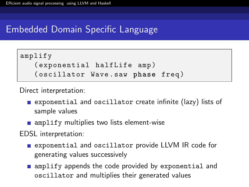## Embedded Domain Specific Language

```
amplify
  ( exponential halfLife amp )
  ( oscillator Wave . saw phase freq )
```
Direct interpretation:

- exponential and oscillator create infinite (lazy) lists of sample values
- $\blacksquare$  amplify multiplies two lists element-wise

EDSL interpretation:

- **E** exponential and oscillator provide LLVM IR code for generating values successively
- **amplify appends the code provided by exponential and** oscillator and multiplies their generated values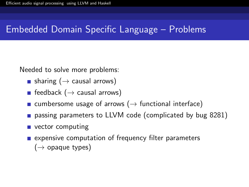#### Embedded Domain Specific Language – Problems

Needed to solve more problems:

- sharing ( $\rightarrow$  causal arrows)
- feedback  $($   $\rightarrow$  causal arrows)
- cumbersome usage of arrows ( $\rightarrow$  functional interface)
- **passing parameters to LLVM code (complicated by [bug 8281\)](http://llvm.org/bugs/show_bug.cgi?id=8281)**
- vector computing
- $\blacksquare$  expensive computation of frequency filter parameters
	- $(\rightarrow$  opaque types)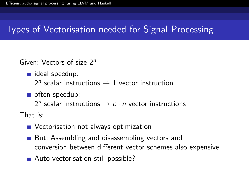# Types of Vectorisation needed for Signal Processing

Given: Vectors of size 2<sup>n</sup>

- deal speedup:
	- $2^n$  scalar instructions  $\rightarrow 1$  vector instruction
- often speedup:

 $2^n$  scalar instructions  $\rightarrow c \cdot n$  vector instructions

That is:

- **Nectorisation not always optimization**
- But: Assembling and disassembling vectors and conversion between different vector schemes also expensive
- Auto-vectorisation still possible?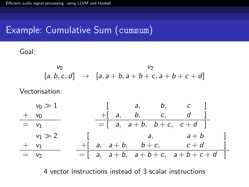#### Example: Cumulative Sum (cumsum)

Goal:

$$
\begin{array}{rcl}\n V_0 & & V_2 \\
[a, b, c, d] & \to & [a, a+b, a+b+c, a+b+c+d]\n \end{array}
$$

Vectorisation:



4 vector instructions instead of 3 scalar instructions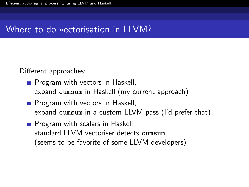#### Where to do vectorisation in LLVM?

Different approaches:

- **Program with vectors in Haskell,** expand cumsum in Haskell (my current approach)
- **Program with vectors in Haskell,** expand cumsum in a custom LLVM pass (I'd prefer that)
- **Program with scalars in Haskell,** standard LLVM vectoriser detects cumsum (seems to be favorite of some LLVM developers)